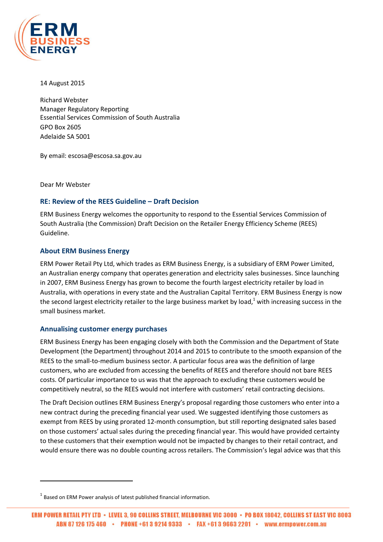

14 August 2015

Richard Webster Manager Regulatory Reporting Essential Services Commission of South Australia GPO Box 2605 Adelaide SA 5001

By email: escosa@escosa.sa.gov.au

Dear Mr Webster

 $\overline{\phantom{a}}$ 

# **RE: Review of the REES Guideline – Draft Decision**

ERM Business Energy welcomes the opportunity to respond to the Essential Services Commission of South Australia (the Commission) Draft Decision on the Retailer Energy Efficiency Scheme (REES) Guideline.

# **About ERM Business Energy**

ERM Power Retail Pty Ltd, which trades as ERM Business Energy, is a subsidiary of ERM Power Limited, an Australian energy company that operates generation and electricity sales businesses. Since launching in 2007, ERM Business Energy has grown to become the fourth largest electricity retailer by load in Australia, with operations in every state and the Australian Capital Territory. ERM Business Energy is now the second largest electricity retailer to the large business market by load, $1$  with increasing success in the small business market.

# **Annualising customer energy purchases**

ERM Business Energy has been engaging closely with both the Commission and the Department of State Development (the Department) throughout 2014 and 2015 to contribute to the smooth expansion of the REES to the small-to-medium business sector. A particular focus area was the definition of large customers, who are excluded from accessing the benefits of REES and therefore should not bare REES costs. Of particular importance to us was that the approach to excluding these customers would be competitively neutral, so the REES would not interfere with customers' retail contracting decisions.

The Draft Decision outlines ERM Business Energy's proposal regarding those customers who enter into a new contract during the preceding financial year used. We suggested identifying those customers as exempt from REES by using prorated 12-month consumption, but still reporting designated sales based on those customers' actual sales during the preceding financial year. This would have provided certainty to these customers that their exemption would not be impacted by changes to their retail contract, and would ensure there was no double counting across retailers. The Commission's legal advice was that this

 $^{1}$  Based on ERM Power analysis of latest published financial information.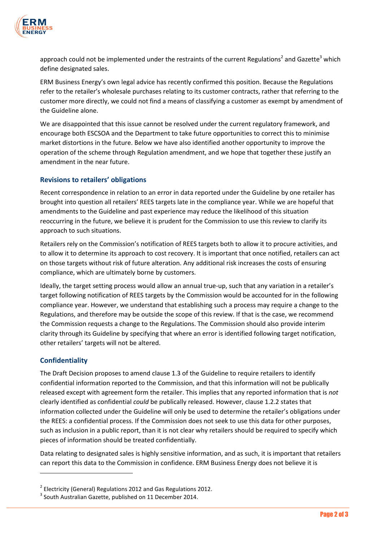

approach could not be implemented under the restraints of the current Regulations<sup>2</sup> and Gazette<sup>3</sup> which define designated sales.

ERM Business Energy's own legal advice has recently confirmed this position. Because the Regulations refer to the retailer's wholesale purchases relating to its customer contracts, rather that referring to the customer more directly, we could not find a means of classifying a customer as exempt by amendment of the Guideline alone.

We are disappointed that this issue cannot be resolved under the current regulatory framework, and encourage both ESCSOA and the Department to take future opportunities to correct this to minimise market distortions in the future. Below we have also identified another opportunity to improve the operation of the scheme through Regulation amendment, and we hope that together these justify an amendment in the near future.

# **Revisions to retailers' obligations**

Recent correspondence in relation to an error in data reported under the Guideline by one retailer has brought into question all retailers' REES targets late in the compliance year. While we are hopeful that amendments to the Guideline and past experience may reduce the likelihood of this situation reoccurring in the future, we believe it is prudent for the Commission to use this review to clarify its approach to such situations.

Retailers rely on the Commission's notification of REES targets both to allow it to procure activities, and to allow it to determine its approach to cost recovery. It is important that once notified, retailers can act on those targets without risk of future alteration. Any additional risk increases the costs of ensuring compliance, which are ultimately borne by customers.

Ideally, the target setting process would allow an annual true-up, such that any variation in a retailer's target following notification of REES targets by the Commission would be accounted for in the following compliance year. However, we understand that establishing such a process may require a change to the Regulations, and therefore may be outside the scope of this review. If that is the case, we recommend the Commission requests a change to the Regulations. The Commission should also provide interim clarity through its Guideline by specifying that where an error is identified following target notification, other retailers' targets will not be altered.

# **Confidentiality**

 $\overline{a}$ 

The Draft Decision proposes to amend clause 1.3 of the Guideline to require retailers to identify confidential information reported to the Commission, and that this information will not be publically released except with agreement form the retailer. This implies that any reported information that is *not*  clearly identified as confidential *could* be publically released. However, clause 1.2.2 states that information collected under the Guideline will only be used to determine the retailer's obligations under the REES: a confidential process. If the Commission does not seek to use this data for other purposes, such as inclusion in a public report, than it is not clear why retailers should be required to specify which pieces of information should be treated confidentially.

Data relating to designated sales is highly sensitive information, and as such, it is important that retailers can report this data to the Commission in confidence. ERM Business Energy does not believe it is

 $^2$  Electricity (General) Regulations 2012 and Gas Regulations 2012.

 $3$  South Australian Gazette, published on 11 December 2014.